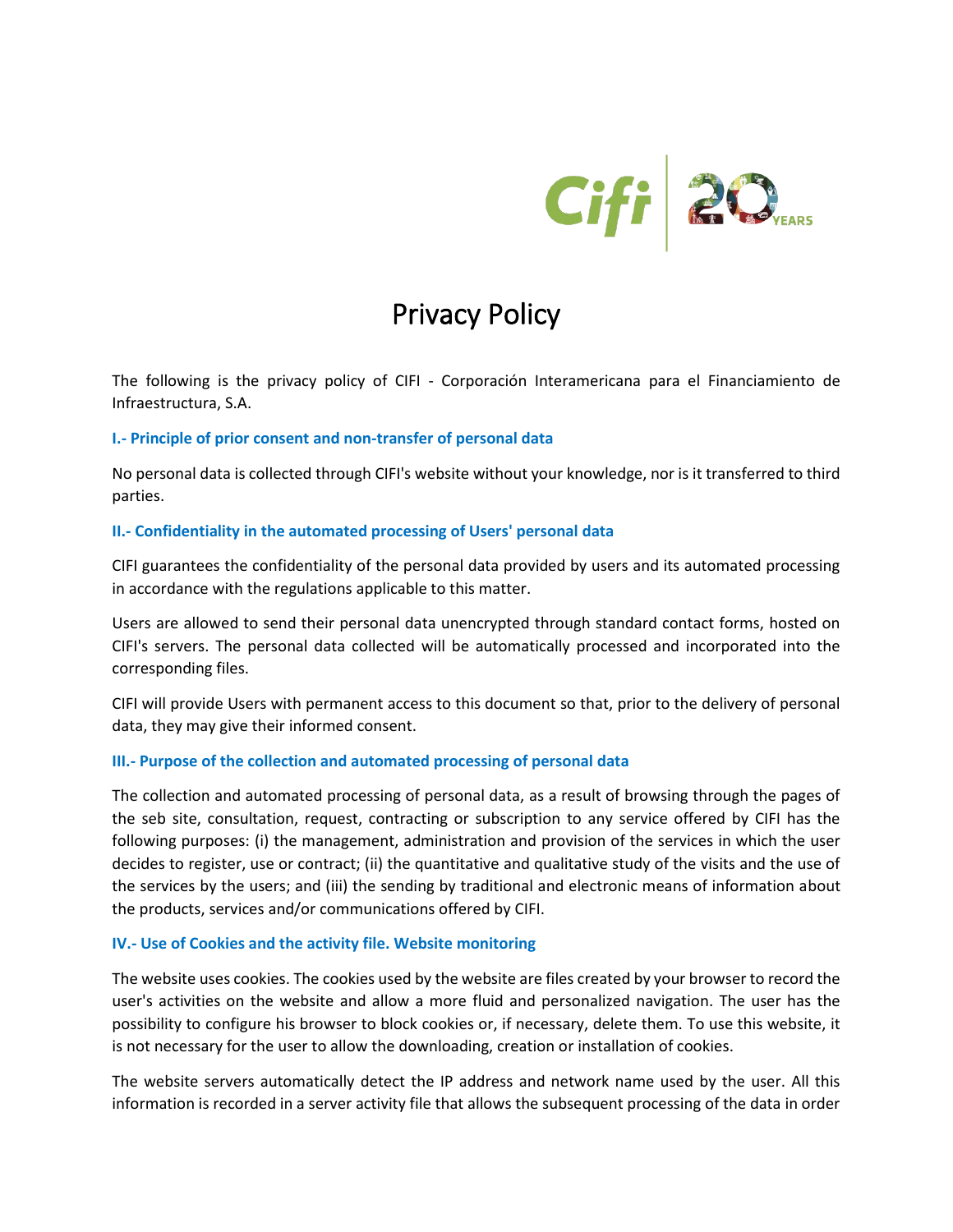

# Privacy Policy

The following is the privacy policy of CIFI - Corporación Interamericana para el Financiamiento de Infraestructura, S.A.

## **I.- Principle of prior consent and non-transfer of personal data**

No personal data is collected through CIFI's website without your knowledge, nor is it transferred to third parties.

## **II.- Confidentiality in the automated processing of Users' personal data**

CIFI guarantees the confidentiality of the personal data provided by users and its automated processing in accordance with the regulations applicable to this matter.

Users are allowed to send their personal data unencrypted through standard contact forms, hosted on CIFI's servers. The personal data collected will be automatically processed and incorporated into the corresponding files.

CIFI will provide Users with permanent access to this document so that, prior to the delivery of personal data, they may give their informed consent.

## **III.- Purpose of the collection and automated processing of personal data**

The collection and automated processing of personal data, as a result of browsing through the pages of the seb site, consultation, request, contracting or subscription to any service offered by CIFI has the following purposes: (i) the management, administration and provision of the services in which the user decides to register, use or contract; (ii) the quantitative and qualitative study of the visits and the use of the services by the users; and (iii) the sending by traditional and electronic means of information about the products, services and/or communications offered by CIFI.

### **IV.- Use of Cookies and the activity file. Website monitoring**

The website uses cookies. The cookies used by the website are files created by your browser to record the user's activities on the website and allow a more fluid and personalized navigation. The user has the possibility to configure his browser to block cookies or, if necessary, delete them. To use this website, it is not necessary for the user to allow the downloading, creation or installation of cookies.

The website servers automatically detect the IP address and network name used by the user. All this information is recorded in a server activity file that allows the subsequent processing of the data in order